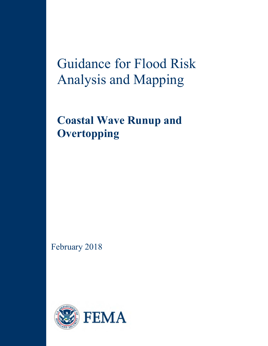Guidance for Flood Risk Analysis and Mapping

**Coastal Wave Runup and Overtopping**

February 2018

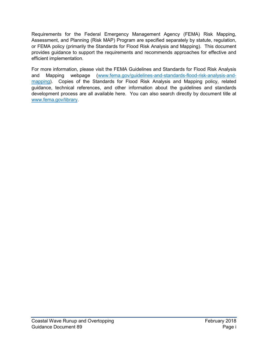Requirements for the Federal Emergency Management Agency (FEMA) Risk Mapping, Assessment, and Planning (Risk MAP) Program are specified separately by statute, regulation, or FEMA policy (primarily the Standards for Flood Risk Analysis and Mapping). This document provides guidance to support the requirements and recommends approaches for effective and efficient implementation.

For more information, please visit the FEMA Guidelines and Standards for Flood Risk Analysis and Mapping webpage [\(www.fema.gov/guidelines-and-standards-flood-risk-analysis-and](http://www.fema.gov/guidelines-and-standards-flood-risk-analysis-and-mapping)[mapping\)](http://www.fema.gov/guidelines-and-standards-flood-risk-analysis-and-mapping). Copies of the Standards for Flood Risk Analysis and Mapping policy, related guidance, technical references, and other information about the guidelines and standards development process are all available here. You can also search directly by document title at www.fema.gov/library.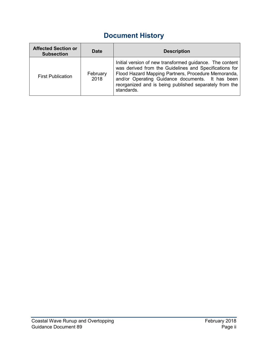# **Document History**

| <b>Affected Section or</b><br><b>Subsection</b> | Date             | <b>Description</b>                                                                                                                                                                                                                                                                                    |
|-------------------------------------------------|------------------|-------------------------------------------------------------------------------------------------------------------------------------------------------------------------------------------------------------------------------------------------------------------------------------------------------|
| <b>First Publication</b>                        | February<br>2018 | Initial version of new transformed guidance. The content<br>was derived from the Guidelines and Specifications for<br>Flood Hazard Mapping Partners, Procedure Memoranda,<br>and/or Operating Guidance documents. It has been<br>reorganized and is being published separately from the<br>standards. |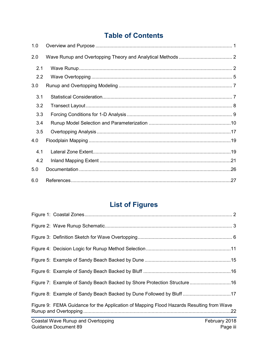# **Table of Contents**

| 1.0 |  |  |  |  |
|-----|--|--|--|--|
| 2.0 |  |  |  |  |
| 2.1 |  |  |  |  |
| 2.2 |  |  |  |  |
| 3.0 |  |  |  |  |
| 3.1 |  |  |  |  |
| 3.2 |  |  |  |  |
| 3.3 |  |  |  |  |
| 3.4 |  |  |  |  |
| 3.5 |  |  |  |  |
| 4.0 |  |  |  |  |
| 4.1 |  |  |  |  |
| 4.2 |  |  |  |  |
| 5.0 |  |  |  |  |
| 6.0 |  |  |  |  |

# **List of Figures**

| Figure 8: Example of Sandy Beach Backed by Dune Followed by Bluff 17                     |               |
|------------------------------------------------------------------------------------------|---------------|
| Figure 9: FEMA Guidance for the Application of Mapping Flood Hazards Resulting from Wave |               |
| Coastal Wave Runup and Overtopping                                                       | February 2018 |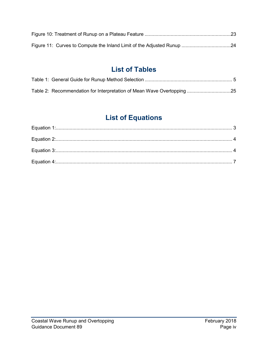# **List of Tables**

| Table 2: Recommendation for Interpretation of Mean Wave Overtopping 25 |  |
|------------------------------------------------------------------------|--|

# **List of Equations**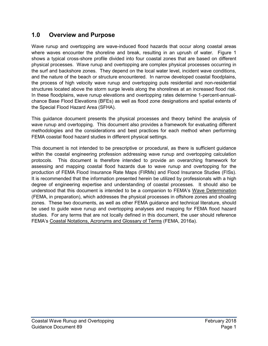# **1.0 Overview and Purpose**

Wave runup and overtopping are wave-induced flood hazards that occur along coastal areas where waves encounter the shoreline and break, resulting in an uprush of water. Figure 1 shows a typical cross-shore profile divided into four coastal zones that are based on different physical processes. Wave runup and overtopping are complex physical processes occurring in the surf and backshore zones. They depend on the local water level, incident wave conditions, and the nature of the beach or structure encountered. In narrow developed coastal floodplains, the process of high velocity wave runup and overtopping puts residential and non-residential structures located above the storm surge levels along the shorelines at an increased flood risk. In these floodplains, wave runup elevations and overtopping rates determine 1-percent-annualchance Base Flood Elevations (BFEs) as well as flood zone designations and spatial extents of the Special Flood Hazard Area (SFHA).

This guidance document presents the physical processes and theory behind the analysis of wave runup and overtopping. This document also provides a framework for evaluating different methodologies and the considerations and best practices for each method when performing FEMA coastal flood hazard studies in different physical settings.

This document is not intended to be prescriptive or procedural, as there is sufficient guidance within the coastal engineering profession addressing wave runup and overtopping calculation protocols. This document is therefore intended to provide an overarching framework for assessing and mapping coastal flood hazards due to wave runup and overtopping for the production of FEMA Flood Insurance Rate Maps (FIRMs) and Flood Insurance Studies (FISs). It is recommended that the information presented herein be utilized by professionals with a high degree of engineering expertise and understanding of coastal processes. It should also be understood that this document is intended to be a companion to FEMA's Wave Determination (FEMA, in preparation), which addresses the physical processes in offshore zones and shoaling zones. These two documents, as well as other FEMA guidance and technical literature, should be used to guide wave runup and overtopping analyses and mapping for FEMA flood hazard studies. For any terms that are not locally defined in this document, the user should reference FEMA's Coastal Notations, Acronyms and Glossary of Terms (FEMA, 2016a).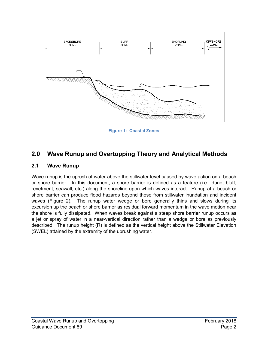

**Figure 1: Coastal Zones**

# **2.0 Wave Runup and Overtopping Theory and Analytical Methods**

#### **2.1 Wave Runup**

Wave runup is the uprush of water above the stillwater level caused by wave action on a beach or shore barrier. In this document, a shore barrier is defined as a feature (i.e., dune, bluff, revetment, seawall, etc.) along the shoreline upon which waves interact. Runup at a beach or shore barrier can produce flood hazards beyond those from stillwater inundation and incident waves (Figure 2). The runup water wedge or bore generally thins and slows during its excursion up the beach or shore barrier as residual forward momentum in the wave motion near the shore is fully dissipated. When waves break against a steep shore barrier runup occurs as a jet or spray of water in a near-vertical direction rather than a wedge or bore as previously described. The runup height (R) is defined as the vertical height above the Stillwater Elevation (SWEL) attained by the extremity of the uprushing water.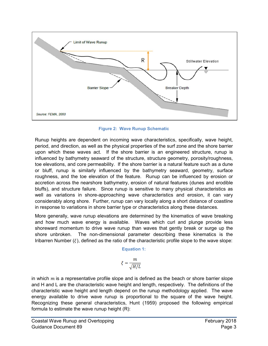

**Figure 2: Wave Runup Schematic**

Runup heights are dependent on incoming wave characteristics, specifically, wave height, period, and direction, as well as the physical properties of the surf zone and the shore barrier upon which these waves act. If the shore barrier is an engineered structure, runup is influenced by bathymetry seaward of the structure, structure geometry, porosity/roughness, toe elevations, and core permeability. If the shore barrier is a natural feature such as a dune or bluff, runup is similarly influenced by the bathymetry seaward, geometry, surface roughness, and the toe elevation of the feature. Runup can be influenced by erosion or accretion across the nearshore bathymetry, erosion of natural features (dunes and erodible bluffs), and structure failure. Since runup is sensitive to many physical characteristics as well as variations in shore-approaching wave characteristics and erosion, it can vary considerably along shore. Further, runup can vary locally along a short distance of coastline in response to variations in shore barrier type or characteristics along these distances.

<span id="page-7-0"></span>More generally, wave runup elevations are determined by the kinematics of wave breaking and how much wave energy is available. Waves which curl and plunge provide less shoreward momentum to drive wave runup than waves that gently break or surge up the shore unbroken. The non-dimensional parameter describing these kinematics is the Iribarren Number  $(\xi)$ , defined as the ratio of the characteristic profile slope to the wave slope:

**Equation 1:** 

$$
\xi = \frac{m}{\sqrt{H/L}}
$$

in which  $m$  is a representative profile slope and is defined as the beach or shore barrier slope and H and L are the characteristic wave height and length, respectively. The definitions of the characteristic wave height and length depend on the runup methodology applied. The wave energy available to drive wave runup is proportional to the square of the wave height. Recognizing these general characteristics, Hunt (1959) proposed the following empirical formula to estimate the wave runup height (R):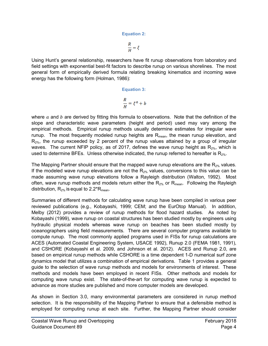# **Equation 2:**

 $\frac{R}{H} = \xi$ 

<span id="page-8-0"></span>Using Hunt's general relationship, researchers have fit runup observations from laboratory and field settings with exponential best-fit factors to describe runup on various shorelines. The most general form of empirically derived formula relating breaking kinematics and incoming wave energy has the following form (Holman, 1986):

Equation 3:  
\n
$$
\frac{R}{H} = \xi^a + b
$$

<span id="page-8-1"></span>where  $a$  and  $b$  are derived by fitting this formula to observations. Note that the definition of the slope and characteristic wave parameters (height and period) used may vary among the empirical methods. Empirical runup methods usually determine estimates for irregular wave runup. The most frequently modeled runup heights are  $R_{mean}$ , the mean runup elevation, and  $R_{2\%}$ , the runup exceeded by 2 percent of the runup values attained by a group of irregular waves. The current National Flood Insurance Program (NFIP) policy, as of 2017, defines the wave runup height as  $R_{2\%}$ , which is used to determine BFEs. Unless otherwise indicated, the runup referred to hereafter is  $R_{2\%}$ .

The Mapping Partner should ensure that the mapped wave runup elevations are the  $R_{2\%}$  values. If the modeled wave runup elevations are not the  $R_{2\%}$  values, conversions to this value can be made assuming wave runup elevations follow a Rayleigh distribution (Walton, 1992). Most often, wave runup methods and models return either the  $R_{2\%}$  or  $R_{mean}$ . Following the Rayleigh distribution,  $R_{2\%}$  is equal to 2.2\* $R_{mean}$ .

Summaries of different methods for calculating wave runup have been compiled in various peer reviewed publications (e.g., Kobayashi, 1999; CEM; and the EurOtop Manual). In addition, Melby (2012) provides a review of runup methods for flood hazard studies. As noted by Kobayashi (1999), wave runup on coastal structures has been studied mostly by engineers using hydraulic physical models whereas wave runup on beaches has been studied mostly by oceanographers using field measurements. There are several computer programs available to compute runup. The most commonly applied programs used in FISs for runup calculations are ACES (Automated Coastal Engineering System, USACE 1992), Runup 2.0 (FEMA 1981, 1991), and CSHORE (Kobayashi et al. 2009, and Johnson et al. 2012). ACES and Runup 2.0, are based on empirical runup methods while CSHORE is a time dependent 1-D numerical surf zone dynamics model that utilizes a combination of empirical derivations. Table 1 provides a general guide to the selection of wave runup methods and models for environments of interest. These methods and models have been employed in recent FISs. Other methods and models for computing wave runup exist. The state-of-the-art for computing wave runup is expected to advance as more studies are published and more computer models are developed.

As shown in Section 3.0, many environmental parameters are considered in runup method selection. It is the responsibility of the Mapping Partner to ensure that a defensible method is employed for computing runup at each site. Further, the Mapping Partner should consider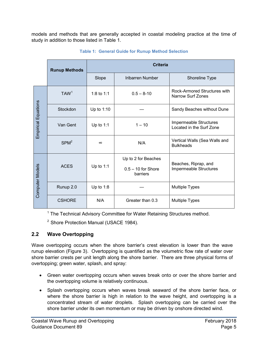<span id="page-9-0"></span>

|                            | <b>Runup Methods</b> | <b>Criteria</b>                         |                                                      |                                                                  |  |  |  |
|----------------------------|----------------------|-----------------------------------------|------------------------------------------------------|------------------------------------------------------------------|--|--|--|
|                            |                      | <b>Iribarren Bumber</b><br><b>Slope</b> |                                                      | <b>Shoreline Type</b>                                            |  |  |  |
|                            | TAW <sup>1</sup>     | 1:8 to $1:1$                            | $0.5 \to 8-10$                                       | <b>Rock-Armored Structuresvith</b><br><b>Barrow Surf Zones</b>   |  |  |  |
|                            | <b>Stockdon</b>      | Ip to 1:10                              |                                                      | Sandy Beaches withoubune                                         |  |  |  |
| <b>Empirical Equations</b> | <b>Van Gent</b>      | $lp$ to 1:1                             | 1Ë 10                                                | <b>Impermeable Structures</b><br><b>Located in the Surf Zone</b> |  |  |  |
|                            | SPM <sup>2</sup>     | ┑                                       | B#A                                                  | Vertical Walls Sea Walls and<br><b>Bulkheads</b>                 |  |  |  |
| <b>Computer Models</b>     | <b>ACES</b>          | I $p$ to 1:1                            | Ip to 2 for Beaches<br>0.5 Ë 10 for Shore<br>barries | Beachesi Riprapi and<br><b>Impermeable Structures</b>            |  |  |  |
|                            | Runup 2.0            | $lp$ to 1:8                             |                                                      | <b>Multiple Types</b>                                            |  |  |  |
|                            | <b>CSHORE</b>        | B#A                                     | Greater than0.3                                      | <b>Multiple Types</b>                                            |  |  |  |

**<sup>1</sup> The Technical Advisory Committee for Water Retaining Structures method.**

<sup>2</sup> Shore Protection Manual fl I SACE 1984.

#### **2.2 Wave Overtopping**

Wave overtopping occurs when the shore barrier<sup>®</sup>s crest vation is lower than the wave runup elevation Figure 3<sup>k</sup>. Overtopping is quantified as the volumetric flow rate of water over shore barriercrests per unit length along the shore barrier. There are three physical forms of overtopping green water *i* splash *i* and spray

|    |    |   |              | a ba                     |   |      |    | ba      | а |
|----|----|---|--------------|--------------------------|---|------|----|---------|---|
|    |    | а |              | <b>Contract Contract</b> |   |      |    |         |   |
|    |    |   | a ba aa      |                          |   |      | ba | a       |   |
|    | ba |   | а            |                          | a | а    |    |         | а |
| а  | а  | а | $\mathbf{r}$ | а                        |   | a ba |    |         |   |
| ba |    |   | a b          |                          | b |      |    | $\cdot$ |   |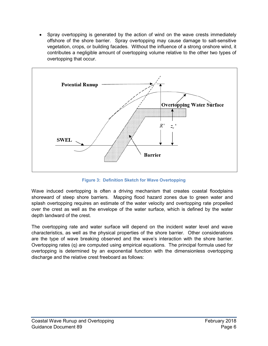• Spray overtopping is generated by the action of wind on the wave crests immediately offshore of the shore barrier. Spray overtopping may cause damage to salt-sensitive vegetation, crops, or building facades. Without the influence of a strong onshore wind, it contributes a negligible amount of overtopping volume relative to the other two types of overtopping that occur.



**Figure 3: Definition Sketch for Wave Overtopping**

Wave induced overtopping is often a driving mechanism that creates coastal floodplains shoreward of steep shore barriers. Mapping flood hazard zones due to green water and splash overtopping requires an estimate of the water velocity and overtopping rate propelled over the crest as well as the envelope of the water surface, which is defined by the water depth landward of the crest.

The overtopping rate and water surface will depend on the incident water level and wave characteristics, as well as the physical properties of the shore barrier. Other considerations are the type of wave breaking observed and the wave's interaction with the shore barrier. Overtopping rates (q) are computed using empirical equations. The principal formula used for overtopping is determined by an exponential function with the dimensionless overtopping discharge and the relative crest freeboard as follows: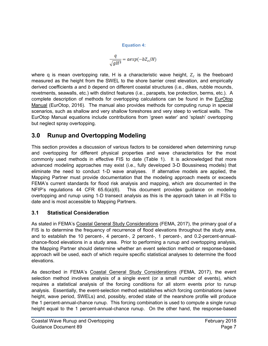**Equation 4:** 

$$
\frac{q}{\sqrt{gH^3}} = aexp(-bZ_c/H)
$$

<span id="page-11-0"></span>where q is mean overtopping rate, H is a characteristic wave height,  $Z_c$  is the freeboard measured as the height from the SWEL to the shore barrier crest elevation, and empirically derived coefficients *a* and *b* depend on different coastal structures (i.e., dikes, rubble mounds, revetments, seawalls, etc.) with distinct features (i.e., parapets, toe protection, berms, etc.). A complete description of methods for overtopping calculations can be found in the EurOtop Manual (EurOtop, 2016). The manual also provides methods for computing runup in special scenarios, such as shallow and very shallow foreshores and very steep to vertical walls. The EurOtop Manual equations include contributions from 'green water' and 'splash' overtopping but neglect spray overtopping.

# **3.0 Runup and Overtopping Modeling**

This section provides a discussion of various factors to be considered when determining runup and overtopping for different physical properties and wave characteristics for the most commonly used methods in effective FIS to date (Table 1). It is acknowledged that more advanced modeling approaches may exist (i.e., fully developed 3-D Boussinesq models) that eliminate the need to conduct 1-D wave analyses. If alternative models are applied, the Mapping Partner must provide documentation that the modeling approach meets or exceeds FEMA's current standards for flood risk analysis and mapping, which are documented in the NFIP's regulations 44 CFR 65.6(a)(6). This document provides guidance on modeling overtopping and runup using 1-D transect analysis as this is the approach taken in all FISs to date and is most accessible to Mapping Partners.

# **3.1 Statistical Consideration**

As stated in FEMA's Coastal General Study Considerations (FEMA, 2017), the primary goal of a FIS is to determine the frequency of recurrence of flood elevations throughout the study area, and to establish the 10 percent-, 4 percent-, 2 percent-, 1 percent-, and 0.2-percent-annualchance-flood elevations in a study area. Prior to performing a runup and overtopping analysis, the Mapping Partner should determine whether an event selection method or response-based approach will be used, each of which require specific statistical analyses to determine the flood elevations.

As described in FEMA's Coastal General Study Considerations (FEMA, 2017), the event selection method involves analysis of a single event (or a small number of events), which requires a statistical analysis of the forcing conditions for all storm events prior to runup analysis. Essentially, the event-selection method establishes which forcing combinations (wave height, wave period, SWELs) and, possibly, eroded state of the nearshore profile will produce the 1 percent-annual-chance runup. This forcing combination is used to compute a single runup height equal to the 1 percent-annual-chance runup. On the other hand, the response-based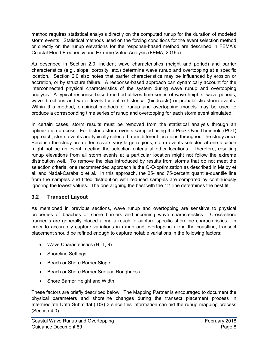method requires statistical analysis directly on the computed runup for the duration of modeled storm events. Statistical methods used on the forcing conditions for the event selection method or directly on the runup elevations for the response-based method are described in FEMA's Coastal Flood Frequency and Extreme Value Analysis (FEMA, 2016b).

As described in Section 2.0, incident wave characteristics (height and period) and barrier characteristics (e.g., slope, porosity, etc.) determine wave runup and overtopping at a specific location. Section 2.0 also notes that barrier characteristics may be influenced by erosion or accretion, or by structure failure. A response-based approach can dynamically account for the interconnected physical characteristics of the system during wave runup and overtopping analysis. A typical response-based method utilizes time series of wave heights, wave periods, wave directions and water levels for entire historical (hindcasts) or probabilistic storm events. Within this method, empirical methods or runup and overtopping models may be used to produce a corresponding time series of runup and overtopping for each storm event simulated.

In certain cases, storm results must be removed from the statistical analysis through an optimization process. For historic storm events sampled using the Peak Over Threshold (POT) approach, storm events are typically selected from different locations throughout the study area. Because the study area often covers very large regions, storm events selected at one location might not be an event meeting the selection criteria at other locations. Therefore, resulting runup elevations from all storm events at a particular location might not follow the extreme distribution well. To remove the bias introduced by results from storms that do not meet the selection criteria, one recommended approach is the Q-Q-optimization as described in Melby et al. and Nadal-Caraballo et al. In this approach, the 25- and 75-percent quantile-quantile line from the samples and fitted distribution with reduced samples are compared by continuously ignoring the lowest values. The one aligning the best with the 1:1 line determines the best fit.

# **3.2 Transect Layout**

As mentioned in previous sections, wave runup and overtopping are sensitive to physical properties of beaches or shore barriers and incoming wave characteristics. Cross-shore transects are generally placed along a reach to capture specific shoreline characteristics. In order to accurately capture variations in runup and overtopping along the coastline, transect placement should be refined enough to capture notable variations in the following factors:

- Wave Characteristics (H, T, θ)
- Shoreline Settings
- Beach or Shore Barrier Slope
- Beach or Shore Barrier Surface Roughness
- Shore Barrier Height and Width

These factors are briefly described below. The Mapping Partner is encouraged to document the physical parameters and shoreline changes during the transect placement process in Intermediate Data Submittal (IDS) 3 since this information can aid the runup mapping process (Section 4.0).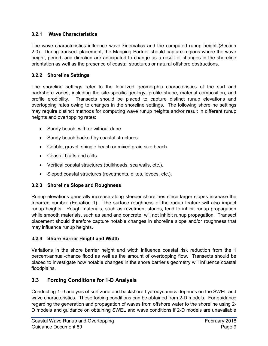#### **3.2.1 Wave Characteristics**

The wave characteristics influence wave kinematics and the computed runup height (Section 2.0). During transect placement, the Mapping Partner should capture regions where the wave height, period, and direction are anticipated to change as a result of changes in the shoreline orientation as well as the presence of coastal structures or natural offshore obstructions.

#### **3.2.2 Shoreline Settings**

The shoreline settings refer to the localized geomorphic characteristics of the surf and backshore zones, including the site-specific geology, profile shape, material composition, and profile erodibility. Transects should be placed to capture distinct runup elevations and overtopping rates owing to changes in the shoreline settings. The following shoreline settings may require distinct methods for computing wave runup heights and/or result in different runup heights and overtopping rates:

- Sandy beach, with or without dune.
- Sandy beach backed by coastal structures.
- Cobble, gravel, shingle beach or mixed grain size beach.
- Coastal bluffs and cliffs.
- Vertical coastal structures (bulkheads, sea walls, etc.).
- Sloped coastal structures (revetments, dikes, levees, etc.).

#### **3.2.3 Shoreline Slope and Roughness**

Runup elevations generally increase along steeper shorelines since larger slopes increase the Iribarren number (Equation 1). The surface roughness of the runup feature will also impact runup heights. Rough materials, such as revetment stones, tend to inhibit runup propagation while smooth materials, such as sand and concrete, will not inhibit runup propagation. Transect placement should therefore capture notable changes in shoreline slope and/or roughness that may influence runup heights.

#### **3.2.4 Shore Barrier Height and Width**

Variations in the shore barrier height and width influence coastal risk reduction from the 1 percent-annual-chance flood as well as the amount of overtopping flow. Transects should be placed to investigate how notable changes in the shore barrier's geometry will influence coastal floodplains.

# **3.3 Forcing Conditions for 1-D Analysis**

Conducting 1-D analysis of surf zone and backshore hydrodynamics depends on the SWEL and wave characteristics. These forcing conditions can be obtained from 2-D models. For guidance regarding the generation and propagation of waves from offshore water to the shoreline using 2- D models and guidance on obtaining SWEL and wave conditions if 2-D models are unavailable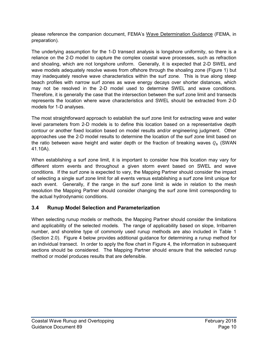please reference the companion document, FEMA's Wave Determination Guidance (FEMA, in preparation)*.*

The underlying assumption for the 1-D transect analysis is longshore uniformity, so there is a reliance on the 2-D model to capture the complex coastal wave processes, such as refraction and shoaling, which are not longshore uniform. Generally, it is expected that 2-D SWEL and wave models adequately resolve waves from offshore through the shoaling zone (Figure 1) but may inadequately resolve wave characteristics within the surf zone. This is true along steep beach profiles with narrow surf zones as wave energy decays over shorter distances, which may not be resolved in the 2-D model used to determine SWEL and wave conditions. Therefore, it is generally the case that the intersection between the surf zone limit and transects represents the location where wave characteristics and SWEL should be extracted from 2-D models for 1-D analyses.

The most straightforward approach to establish the surf zone limit for extracting wave and water level parameters from 2-D models is to define this location based on a representative depth contour or another fixed location based on model results and/or engineering judgment. Other approaches use the 2-D model results to determine the location of the surf zone limit based on the ratio between wave height and water depth or the fraction of breaking waves  $Q_h$  (SWAN) 41.10A).

When establishing a surf zone limit, it is important to consider how this location may vary for different storm events and throughout a given storm event based on SWEL and wave conditions. If the surf zone is expected to vary, the Mapping Partner should consider the impact of selecting a single surf zone limit for all events versus establishing a surf zone limit unique for each event. Generally, if the range in the surf zone limit is wide in relation to the mesh resolution the Mapping Partner should consider changing the surf zone limit corresponding to the actual hydrodynamic conditions.

# **3.4 Runup Model Selection and Parameterization**

When selecting runup models or methods, the Mapping Partner should consider the limitations and applicability of the selected models. The range of applicability based on slope, Irribarren number, and shoreline type of commonly used runup methods are also included in Table 1 (Section 2.0). Figure 4 below provides additional guidance for determining a runup method for an individual transect. In order to apply the flow chart in Figure 4, the information in subsequent sections should be considered. The Mapping Partner should ensure that the selected runup method or model produces results that are defensible.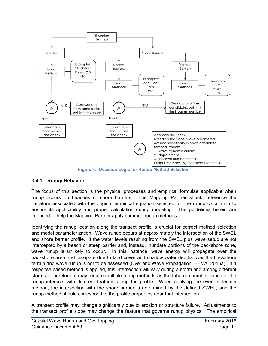

**Figure 4: Decision Logic for Runup Method Selection**

#### **3.4.1 Runup Behavior**

The focus of this section is the physical processes and empirical formulae applicable when runup occurs on beaches or shore barriers. The Mapping Partner should reference the literature associated with the original empirical equation selected for the runup calculation to ensure its applicability and proper calculation during modeling. The guidelines herein are intended to help the Mapping Partner apply common runup methods.

Identifying the runup location along the transect profile is crucial for correct method selection and model parameterization. Wave runup occurs at approximately the intersection of the SWEL and shore barrier profile. If the water levels resulting from the SWEL plus wave setup are not intercepted by a beach or steep barrier and, instead, inundate portions of the backshore zone, wave runup is unlikely to occur. In this instance, wave energy will propagate over the backshore area and dissipate due to land cover and shallow water depths over the backshore terrain and wave runup is not to be assessed (Overland Wave Propagation, FEMA, 2015a). If a response based method is applied, this intersection will vary during a storm and among different storms. Therefore, it may require multiple runup methods as the Iribarren number varies or the runup interacts with different features along the profile. When applying the event selection method, the intersection with the shore barrier is determined by the defined SWEL, and the runup method should correspond to the profile properties near that intersection.

A transect profile may change significantly due to erosion or structure failure. Adjustments to the transect profile slope may change the feature that governs runup physics. The empirical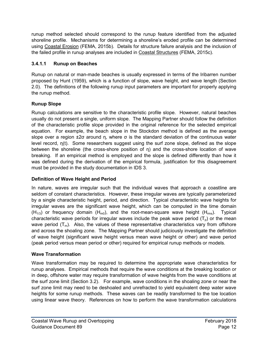runup method selected should correspond to the runup feature identified from the adjusted shoreline profile. Mechanisms for determining a shoreline's eroded profile can be determined using Coastal Erosion (FEMA, 2015b)*.* Details for structure failure analysis and the inclusion of the failed profile in runup analyses are included in Coastal Structures (FEMA, 2015c).

#### **3.4.1.1 Runup on Beaches**

Runup on natural or man-made beaches is usually expressed in terms of the Iribarren number proposed by Hunt (1959), which is a function of slope, wave height, and wave length (Section 2.0). The definitions of the following runup input parameters are important for properly applying the runup method.

### **Runup Slope**

Runup calculations are sensitive to the characteristic profile slope. However, natural beaches usually do not present a single, uniform slope. The Mapping Partner should follow the definition of the characteristic profile slope provided in the original reference for the selected empirical equation. For example, the beach slope in the Stockdon method is defined as the average slope over a region  $\pm 2\sigma$  around η, where  $\sigma$  is the standard deviation of the continuous water level record, η(t). Some researchers suggest using the surf zone slope, defined as the slope between the shoreline (the cross-shore position of  $\eta$ ) and the cross-shore location of wave breaking. If an empirical method is employed and the slope is defined differently than how it was defined during the derivation of the empirical formula, justification for this disagreement must be provided in the study documentation in IDS 3.

#### **Definition of Wave Height and Period**

In nature, waves are irregular such that the individual waves that approach a coastline are seldom of constant characteristics. However, these irregular waves are typically parameterized by a single characteristic height, period, and direction. Typical characteristic wave heights for irregular waves are the significant wave height, which can be computed in the time domain  $(H_{1/3})$  or frequency domain  $(H_{m0})$ , and the root-mean-square wave height  $(H_{rms})$ . Typical characteristic wave periods for irregular waves include the peak wave period  $(T_p)$  or the mean wave period  $(T_m)$ . Also, the values of these representative characteristics vary from offshore and across the shoaling zone. The Mapping Partner should judiciously investigate the definition of wave height (significant wave height versus mean wave height or other) and wave period (peak period versus mean period or other) required for empirical runup methods or models.

#### **Wave Transformation**

Wave transformation may be required to determine the appropriate wave characteristics for runup analyses. Empirical methods that require the wave conditions at the breaking location or in deep, offshore water may require transformation of wave heights from the wave conditions at the surf zone limit (Section 3.2). For example, wave conditions in the shoaling zone or near the surf zone limit may need to be deshoaled and unrefracted to yield equivalent deep water wave heights for some runup methods. These waves can be readily transformed to the toe location using linear wave theory. References on how to perform the wave transformation calculations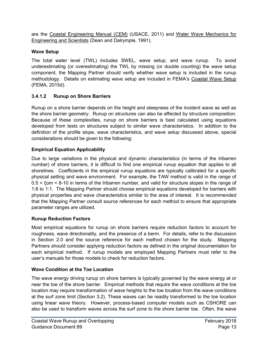are the Coastal Engineering Manual (CEM) (USACE, 2011) and Water Wave Mechanics for Engineering and Scientists (Dean and Dalrymple, 1991).

#### **Wave Setup**

The total water level (TWL) includes SWEL, wave setup, and wave runup. To avoid underestimating (or overestimating) the TWL by missing (or double counting) the wave setup component, the Mapping Partner should verify whether wave setup is included in the runup methodology. Details on estimating wave setup are included in FEMA's Coastal Wave Setup (FEMA, 2015d).

### **3.4.1.2 Runup on Shore Barriers**

Runup on a shore barrier depends on the height and steepness of the incident wave as well as the shore barrier geometry. Runup on structures can also be affected by structure composition. Because of these complexities, runup on shore barriers is best calculated using equations developed from tests on structures subject to similar wave characteristics. In addition to the definition of the profile slope, wave characteristics, and wave setup discussed above, special considerations should be given to the following:

### **Empirical Equation Applicability**

Due to large variations in the physical and dynamic characteristics (in terms of the Iribarren number) of shore barriers, it is difficult to find one empirical runup equation that applies to all shorelines. Coefficients in the empirical runup equations are typically calibrated for a specific physical setting and wave environment. For example, the TAW method is valid in the range of 0.5 < ξom < 8-10 in terms of the Iribarren number, and valid for structure slopes in the range of 1:8 to 1:1. The Mapping Partner should choose empirical equations developed for barriers with physical properties and wave characteristics similar to the area of interest. It is recommended that the Mapping Partner consult source references for each method to ensure that appropriate parameter ranges are utilized.

# **Runup Reduction Factors**

Most empirical equations for runup on shore barriers require reduction factors to account for roughness, wave directionality, and the presence of a berm. For details, refer to the discussion in Section 2.0 and the source reference for each method chosen for the study. Mapping Partners should consider applying reduction factors as defined in the original documentation for each empirical method. If runup models are employed Mapping Partners must refer to the user's manuals for those models to check for reduction factors.

#### **Wave Condition at the Toe Location**

The wave energy driving runup on shore barriers is typically governed by the wave energy at or near the toe of the shore barrier. Empirical methods that require the wave conditions at the toe location may require transformation of wave heights to the toe location from the wave conditions at the surf zone limit (Section 3.2). These waves can be readily transformed to the toe location using linear wave theory. However, process-based computer models such as CSHORE can also be used to transform waves across the surf zone to the shore barrier toe. Often, the wave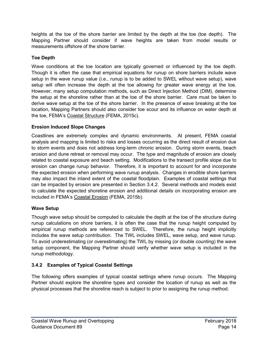heights at the toe of the shore barrier are limited by the depth at the toe (toe depth). The Mapping Partner should consider if wave heights are taken from model results or measurements offshore of the shore barrier.

### **Toe Depth**

Wave conditions at the toe location are typically governed or influenced by the toe depth. Though it is often the case that empirical equations for runup on shore barriers include wave setup in the wave runup value (i.e., runup is to be added to SWEL without wave setup), wave setup will often increase the depth at the toe allowing for greater wave energy at the toe. However, many setup computation methods, such as Direct Injection Method (DIM), determine the setup at the shoreline rather than at the toe of the shore barrier. Care must be taken to derive wave setup at the toe of the shore barrier. In the presence of wave breaking at the toe location, Mapping Partners should also consider toe scour and its influence on water depth at the toe, FEMA's Coastal Structure (FEMA, 2015c).

#### **Erosion Induced Slope Changes**

Coastlines are extremely complex and dynamic environments. At present, FEMA coastal analysis and mapping is limited to risks and losses occurring as the direct result of erosion due to storm events and does not address long-term chronic erosion. During storm events, beach erosion and dune retreat or removal may occur. The type and magnitude of erosion are closely related to coastal exposure and beach setting. Modifications to the transect profile slope due to erosion can change runup behavior. Therefore, it is important to account for and incorporate the expected erosion when performing wave runup analysis. Changes in erodible shore barriers may also impact the inland extent of the coastal floodplain. Examples of coastal settings that can be impacted by erosion are presented in Section 3.4.2. Several methods and models exist to calculate the expected shoreline erosion and additional details on incorporating erosion are included in FEMA's Coastal Erosion (FEMA, 2015b).

# **Wave Setup**

Though wave setup should be computed to calculate the depth at the toe of the structure during runup calculations on shore barriers, it is often the case that the runup height computed by empirical runup methods are referenced to SWEL. Therefore, the runup height implicitly includes the wave setup contribution. The TWL includes SWEL, wave setup, and wave runup. To avoid underestimating (or overestimating) the TWL by missing (or double counting) the wave setup component, the Mapping Partner should verify whether wave setup is included in the runup methodology.

# **3.4.2 Examples of Typical Coastal Settings**

The following offers examples of typical coastal settings where runup occurs. The Mapping Partner should explore the shoreline types and consider the location of runup as well as the physical processes that the shoreline reach is subject to prior to assigning the runup method.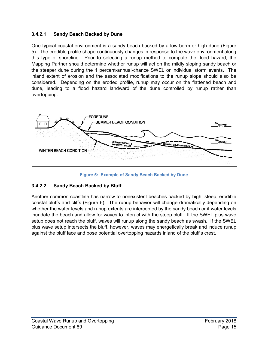### **3.4.2.1 Sandy Beach Backed by Dune**

One typical coastal environment is a sandy beach backed by a low berm or high dune (Figure 5). The erodible profile shape continuously changes in response to the wave environment along this type of shoreline. Prior to selecting a runup method to compute the flood hazard, the Mapping Partner should determine whether runup will act on the mildly sloping sandy beach or the steeper dune during the 1 percent-annual-chance SWEL or individual storm events. The inland extent of erosion and the associated modifications to the runup slope should also be considered. Depending on the eroded profile, runup may occur on the flattened beach and dune, leading to a flood hazard landward of the dune controlled by runup rather than overtopping.



**Figure 5: Example of Sandy Beach Backed by Dune**

# **3.4.2.2 Sandy Beach Backed by Bluff**

Another common coastline has narrow to nonexistent beaches backed by high, steep, erodible coastal bluffs and cliffs (Figure 6). The runup behavior will change dramatically depending on whether the water levels and runup extents are intercepted by the sandy beach or if water levels inundate the beach and allow for waves to interact with the steep bluff. If the SWEL plus wave setup does not reach the bluff, waves will runup along the sandy beach as swash. If the SWEL plus wave setup intersects the bluff, however, waves may energetically break and induce runup against the bluff face and pose potential overtopping hazards inland of the bluff's crest.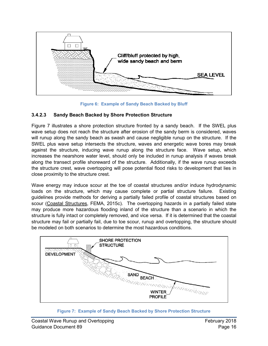

**Figure 6: Example of Sandy Beach Backed by Bluff**

#### **3.4.2.3 Sandy Beach Backed by Shore Protection Structure**

Figure 7 illustrates a shore protection structure fronted by a sandy beach. If the SWEL plus wave setup does not reach the structure after erosion of the sandy berm is considered, waves will runup along the sandy beach as swash and cause negligible runup on the structure. If the SWEL plus wave setup intersects the structure, waves and energetic wave bores may break against the structure, inducing wave runup along the structure face. Wave setup, which increases the nearshore water level, should only be included in runup analysis if waves break along the transect profile shoreward of the structure. Additionally, if the wave runup exceeds the structure crest, wave overtopping will pose potential flood risks to development that lies in close proximity to the structure crest.

Wave energy may induce scour at the toe of coastal structures and/or induce hydrodynamic loads on the structure, which may cause complete or partial structure failure. Existing guidelines provide methods for deriving a partially failed profile of coastal structures based on scour (Coastal Structures, FEMA, 2015c). The overtopping hazards in a partially failed state may produce more hazardous flooding inland of the structure than a scenario in which the structure is fully intact or completely removed, and vice versa. If it is determined that the coastal structure may fail or partially fail, due to toe scour, runup and overtopping, the structure should be modeled on both scenarios to determine the most hazardous conditions.



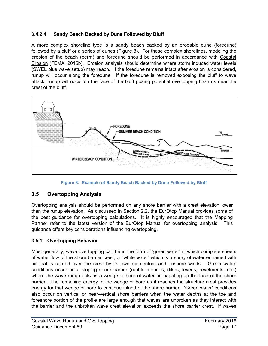#### **3.4.2.4 Sandy Beach Backed by Dune Followed by Bluff**

A more complex shoreline type is a sandy beach backed by an erodable dune (foredune) followed by a bluff or a series of dunes (Figure 8). For these complex shorelines, modeling the erosion of the beach (berm) and foredune should be performed in accordance with Coastal Erosion (FEMA, 2015b). Erosion analysis should determine where storm induced water levels (SWEL plus wave setup) may reach. If the foredune remains intact after erosion is considered, runup will occur along the foredune. If the foredune is removed exposing the bluff to wave attack, runup will occur on the face of the bluff posing potential overtopping hazards near the crest of the bluff.



**Figure 8: Example of Sandy Beach Backed by Dune Followed by Bluff**

#### **3.5 Overtopping Analysis**

Overtopping analysis should be performed on any shore barrier with a crest elevation lower than the runup elevation. As discussed in Section 2.2, the EurOtop Manual provides some of the best guidance for overtopping calculations. It is highly encouraged that the Mapping Partner refer to the latest version of the EurOtop Manual for overtopping analysis. This guidance offers key considerations influencing overtopping.

#### **3.5.1 Overtopping Behavior**

Most generally, wave overtopping can be in the form of 'green water' in which complete sheets of water flow of the shore barrier crest, or 'white water' which is a spray of water entrained with air that is carried over the crest by its own momentum and onshore winds. 'Green water' conditions occur on a sloping shore barrier (rubble mounds, dikes, levees, revetments, etc.) where the wave runup acts as a wedge or bore of water propagating up the face of the shore barrier. The remaining energy in the wedge or bore as it reaches the structure crest provides energy for that wedge or bore to continue inland of the shore barrier. 'Green water' conditions also occur on vertical or near-vertical shore barriers when the water depths at the toe and foreshore portion of the profile are large enough that waves are unbroken as they interact with the barrier and the unbroken wave crest elevation exceeds the shore barrier crest. If waves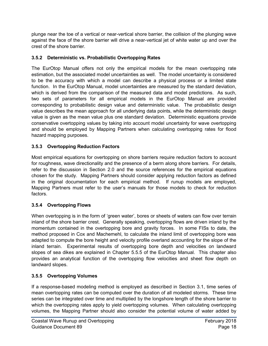plunge near the toe of a vertical or near-vertical shore barrier, the collision of the plunging wave against the face of the shore barrier will drive a near-vertical jet of white water up and over the crest of the shore barrier.

#### **3.5.2 Deterministic vs. Probabilistic Overtopping Rates**

The EurOtop Manual offers not only the empirical models for the mean overtopping rate estimation, but the associated model uncertainties as well. The model uncertainty is considered to be the accuracy with which a model can describe a physical process or a limited state function. In the EurOtop Manual, model uncertainties are measured by the standard deviation, which is derived from the comparison of the measured data and model predictions. As such, two sets of parameters for all empirical models in the EurOtop Manual are provided corresponding to probabilistic design value and deterministic value. The probabilistic design value describes the mean approach for all underlying data points, while the deterministic design value is given as the mean value plus one standard deviation. Deterministic equations provide conservative overtopping values by taking into account model uncertainty for wave overtopping and should be employed by Mapping Partners when calculating overtopping rates for flood hazard mapping purposes.

#### **3.5.3 Overtopping Reduction Factors**

Most empirical equations for overtopping on shore barriers require reduction factors to account for roughness, wave directionality and the presence of a berm along shore barriers. For details, refer to the discussion in Section 2.0 and the source references for the empirical equations chosen for the study. Mapping Partners should consider applying reduction factors as defined in the original documentation for each empirical method. If runup models are employed, Mapping Partners must refer to the user's manuals for those models to check for reduction factors.

#### **3.5.4 Overtopping Flows**

When overtopping is in the form of 'green water', bores or sheets of waters can flow over terrain inland of the shore barrier crest. Generally speaking, overtopping flows are driven inland by the momentum contained in the overtopping bore and gravity forces. In some FISs to date, the method proposed in Cox and Machemehl, to calculate the inland limit of overtopping bore was adapted to compute the bore height and velocity profile overland accounting for the slope of the inland terrain. Experimental results of overtopping bore depth and velocities on landward slopes of sea dikes are explained in Chapter 5.5.5 of the EurOtop Manual. This chapter also provides an analytical function of the overtopping flow velocities and sheet flow depth on landward slopes.

#### **3.5.5 Overtopping Volumes**

If a response-based modeling method is employed as described in Section 3.1, time series of mean overtopping rates can be computed over the duration of all modeled storms. These time series can be integrated over time and multiplied by the longshore length of the shore barrier to which the overtopping rates apply to yield overtopping volumes. When calculating overtopping volumes, the Mapping Partner should also consider the potential volume of water added by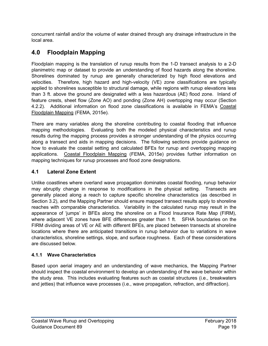concurrent rainfall and/or the volume of water drained through any drainage infrastructure in the local area.

# **4.0 Floodplain Mapping**

Floodplain mapping is the translation of runup results from the 1-D transect analysis to a 2-D planimetric map or dataset to provide an understanding of flood hazards along the shoreline. Shorelines dominated by runup are generally characterized by high flood elevations and velocities. Therefore, high hazard and high-velocity (VE) zone classifications are typically applied to shorelines susceptible to structural damage, while regions with runup elevations less than 3 ft. above the ground are designated with a less hazardous (AE) flood zone. Inland of feature crests, sheet flow (Zone AO) and ponding (Zone AH) overtopping may occur (Section 4.2.2). Additional information on flood zone classifications is available in FEMA's Coastal Floodplain Mapping (FEMA, 2015e).

There are many variables along the shoreline contributing to coastal flooding that influence mapping methodologies. Evaluating both the modeled physical characteristics and runup results during the mapping process provides a stronger understanding of the physics occurring along a transect and aids in mapping decisions. The following sections provide guidance on how to evaluate the coastal setting and calculated BFEs for runup and overtopping mapping applications. Coastal Floodplain Mapping (FEMA, 2015e) provides further information on mapping techniques for runup processes and flood zone designations.

# **4.1 Lateral Zone Extent**

Unlike coastlines where overland wave propagation dominates coastal flooding, runup behavior may abruptly change in response to modifications in the physical setting. Transects are generally placed along a reach to capture specific shoreline characteristics (as described in Section 3.2), and the Mapping Partner should ensure mapped transect results apply to shoreline reaches with comparable characteristics. Variability in the calculated runup may result in the appearance of 'jumps' in BFEs along the shoreline on a Flood Insurance Rate Map (FIRM), where adjacent VE zones have BFE differences greater than 1 ft. SFHA boundaries on the FIRM dividing areas of VE or AE with different BFEs, are placed between transects at shoreline locations where there are anticipated transitions in runup behavior due to variations in wave characteristics, shoreline settings, slope, and surface roughness. Each of these considerations are discussed below.

# **4.1.1 Wave Characteristics**

Based upon aerial imagery and an understanding of wave mechanics, the Mapping Partner should inspect the coastal environment to develop an understanding of the wave behavior within the study area. This includes evaluating features such as coastal structures (i.e., breakwaters and jetties) that influence wave processes (i.e., wave propagation, refraction, and diffraction).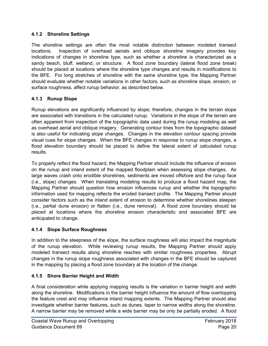#### **4.1.2 Shoreline Settings**

The shoreline settings are often the most notable distinction between modeled transect locations. Inspection of overhead aerials and oblique shoreline imagery provides key indications of changes in shoreline type, such as whether a shoreline is characterized as a sandy beach, bluff, wetland, or structure. A flood zone boundary (lateral flood zone break) should be placed at locations where the shoreline type changes and results in modifications to the BFE. For long stretches of shoreline with the same shoreline type, the Mapping Partner should evaluate whether notable variations in other factors, such as shoreline slope, erosion, or surface roughness, affect runup behavior, as described below.

### **4.1.3 Runup Slope**

Runup elevations are significantly influenced by slope; therefore, changes in the terrain slope are associated with transitions in the calculated runup. Variations in the slope of the terrain are often apparent from inspection of the topographic data used during the runup modeling as well as overhead aerial and oblique imagery. Generating contour lines from the topographic dataset is also useful for indicating slope changes. Changes in the elevation contour spacing provide visual cues for slope changes. When the BFE changes in response to runup slope changes, a flood elevation boundary should be placed to define the lateral extent of calculated runup results.

To properly reflect the flood hazard, the Mapping Partner should include the influence of erosion on the runup and inland extent of the mapped floodplain when assessing slope changes. As large waves crash onto erodible shorelines, sediments are moved offshore and the runup face (i.e., slope) changes. When translating modeling results to produce a flood hazard map, the Mapping Partner should question how erosion influences runup and whether the topographic information used for mapping reflects the eroded transect profile. The Mapping Partner should consider factors such as the inland extent of erosion to determine whether shorelines steepen (i.e., partial dune erosion) or flatten (i.e., dune removal). A flood zone boundary should be placed at locations where the shoreline erosion characteristic and associated BFE are anticipated to change.

#### **4.1.4 Slope Surface Roughness**

In addition to the steepness of the slope, the surface roughness will also impact the magnitude of the runup elevation. While reviewing runup results, the Mapping Partner should apply modeled transect results along shoreline reaches with similar roughness properties. Abrupt changes in the runup slope roughness associated with changes in the BFE should be captured in the mapping by placing a flood zone boundary at the location of the change.

#### **4.1.5 Shore Barrier Height and Width**

A final consideration while applying mapping results is the variation in barrier height and width along the shoreline. Modifications in the barrier height influence the amount of flow overtopping the feature crest and may influence inland mapping extents. The Mapping Partner should also investigate whether barrier features, such as dunes, taper to narrow widths along the shoreline. A narrow barrier may be removed while a wide barrier may be only be partially eroded. A flood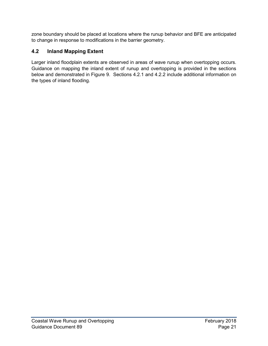zone boundary should be placed at locations where the runup behavior and BFE are anticipated to change in response to modifications in the barrier geometry.

# **4.2 Inland Mapping Extent**

Larger inland floodplain extents are observed in areas of wave runup when overtopping occurs. Guidance on mapping the inland extent of runup and overtopping is provided in the sections below and demonstrated in Figure 9. Sections 4.2.1 and 4.2.2 include additional information on the types of inland flooding.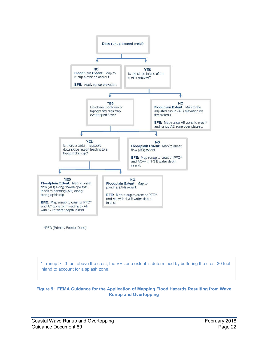

\*PFD (Primary Frontal Dune)

\*If runup >= 3 feet above the crest, the VE zone extent is determined by buffering the crest 30 feet inland to account for a splash zone.

**Figure 9: FEMA Guidance for the Application of Mapping Flood Hazards Resulting from Wave Runup and Overtopping**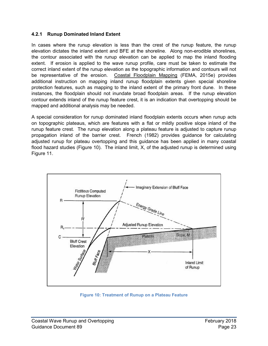#### **4.2.1 Runup Dominated Inland Extent**

In cases where the runup elevation is less than the crest of the runup feature, the runup elevation dictates the inland extent and BFE at the shoreline. Along non-erodible shorelines, the contour associated with the runup elevation can be applied to map the inland flooding extent. If erosion is applied to the wave runup profile, care must be taken to estimate the correct inland extent of the runup elevation as the topographic information and contours will not be representative of the erosion. Coastal Floodplain Mapping (FEMA, 2015e) provides additional instruction on mapping inland runup floodplain extents given special shoreline protection features, such as mapping to the inland extent of the primary front dune. In these instances, the floodplain should not inundate broad floodplain areas. If the runup elevation contour extends inland of the runup feature crest, it is an indication that overtopping should be mapped and additional analysis may be needed.

A special consideration for runup dominated inland floodplain extents occurs when runup acts on topographic plateaus, which are features with a flat or mildly positive slope inland of the runup feature crest. The runup elevation along a plateau feature is adjusted to capture runup propagation inland of the barrier crest. French (1982) provides guidance for calculating adjusted runup for plateau overtopping and this guidance has been applied in many coastal flood hazard studies (Figure 10). The inland limit, X, of the adjusted runup is determined using Figure 11.



**Figure 10: Treatment of Runup on a Plateau Feature**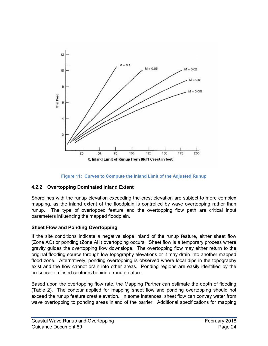



#### **4.2.2 Overtopping Dominated Inland Extent**

Shorelines with the runup elevation exceeding the crest elevation are subject to more complex mapping, as the inland extent of the floodplain is controlled by wave overtopping rather than runup. The type of overtopped feature and the overtopping flow path are critical input parameters influencing the mapped floodplain.

#### **Sheet Flow and Ponding Overtopping**

If the site conditions indicate a negative slope inland of the runup feature, either sheet flow (Zone AO) or ponding (Zone AH) overtopping occurs. Sheet flow is a temporary process where gravity guides the overtopping flow downslope. The overtopping flow may either return to the original flooding source through low topography elevations or it may drain into another mapped flood zone. Alternatively, ponding overtopping is observed where local dips in the topography exist and the flow cannot drain into other areas. Ponding regions are easily identified by the presence of closed contours behind a runup feature.

Based upon the overtopping flow rate, the Mapping Partner can estimate the depth of flooding (Table 2). The contour applied for mapping sheet flow and ponding overtopping should not exceed the runup feature crest elevation. In some instances, sheet flow can convey water from wave overtopping to ponding areas inland of the barrier. Additional specifications for mapping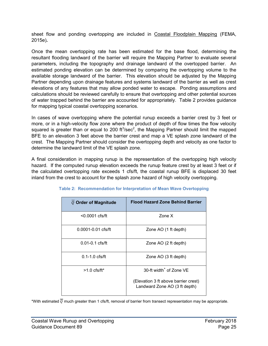sheet flow and ponding overtopping are included in Coastal Floodplain Mapping (FEMA, 2015e)*.* 

Once the mean overtopping rate has been estimated for the base flood, determining the resultant flooding landward of the barrier will require the Mapping Partner to evaluate several parameters, including the topography and drainage landward of the overtopped barrier. An estimated ponding elevation can be determined by comparing the overtopping volume to the available storage landward of the barrier. This elevation should be adjusted by the Mapping Partner depending upon drainage features and systems landward of the barrier as well as crest elevations of any features that may allow ponded water to escape. Ponding assumptions and calculations should be reviewed carefully to ensure that overtopping and other potential sources of water trapped behind the barrier are accounted for appropriately. Table 2 provides guidance for mapping typical coastal overtopping scenarios.

In cases of wave overtopping where the potential runup exceeds a barrier crest by 3 feet or more, or in a high-velocity flow zone where the product of depth of flow times the flow velocity squared is greater than or equal to 200  $ft^3/sec^2$ , the Mapping Partner should limit the mapped BFE to an elevation 3 feet above the barrier crest and map a VE splash zone landward of the crest. The Mapping Partner should consider the overtopping depth and velocity as one factor to determine the landward limit of the VE splash zone.

A final consideration in mapping runup is the representation of the overtopping high velocity hazard. If the computed runup elevation exceeds the runup feature crest by at least 3 feet or if the calculated overtopping rate exceeds 1 cfs/ft, the coastal runup BFE is displaced 30 feet inland from the crest to account for the splash zone hazard of high velocity overtopping.

| Q Order of Magnitude   | <b>Flood Hazard Zone Behind Barrier</b>                                                                      |
|------------------------|--------------------------------------------------------------------------------------------------------------|
| $< 0.0001$ cfs/ft      | Zone X                                                                                                       |
| $0.0001 - 0.01$ cfs/ft | Zone AO (1 ft depth)                                                                                         |
| $0.01 - 0.1$ cfs/ft    | Zone AO (2 ft depth)                                                                                         |
| $0.1 - 1.0$ cfs/ft     | Zone AO (3 ft depth)                                                                                         |
| $>1.0$ cfs/ft*         | 30-ft width <sup>+</sup> of Zone VE<br>(Elevation 3 ft above barrier crest)<br>Landward Zone AO (3 ft depth) |
|                        |                                                                                                              |

<span id="page-29-0"></span>

\*With estimated  $\overline{Q}$  much greater than 1 cfs/ft, removal of barrier from transect representation may be appropriate.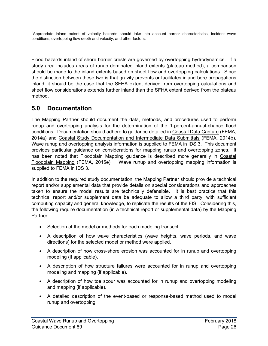+ Appropriate inland extent of velocity hazards should take into account barrier characteristics, incident wave conditions, overtopping flow depth and velocity, and other factors.

Flood hazards inland of shore barrier crests are governed by overtopping hydrodynamics. If a study area includes areas of runup dominated inland extents (plateau method), a comparison should be made to the inland extents based on sheet flow and overtopping calculations. Since the distinction between these two is that gravity prevents or facilitates inland bore propagations inland, it should be the case that the SFHA extent derived from overtopping calculations and sheet flow considerations extends further inland than the SFHA extent derived from the plateau method.

# **5.0 Documentation**

The Mapping Partner should document the data, methods, and procedures used to perform runup and overtopping analysis for the determination of the 1-percent-annual-chance flood conditions. Documentation should adhere to guidance detailed in Coastal Data Capture (FEMA, 2014a) and Coastal Study Documentation and Intermediate Data Submittals (FEMA, 2014b). Wave runup and overtopping analysis information is supplied to FEMA in IDS 3. This document provides particular guidance on considerations for mapping runup and overtopping zones. It has been noted that Floodplain Mapping guidance is described more generally in Coastal Floodplain Mapping (FEMA, 2015e). Wave runup and overtopping mapping information is supplied to FEMA in IDS 3.

In addition to the required study documentation, the Mapping Partner should provide a technical report and/or supplemental data that provide details on special considerations and approaches taken to ensure the model results are technically defensible. It is best practice that this technical report and/or supplement data be adequate to allow a third party, with sufficient computing capacity and general knowledge, to replicate the results of the FIS. Considering this, the following require documentation (in a technical report or supplemental data) by the Mapping Partner:

- Selection of the model or methods for each modeling transect.
- A description of how wave characteristics (wave heights, wave periods, and wave directions) for the selected model or method were applied.
- A description of how cross-shore erosion was accounted for in runup and overtopping modeling (if applicable).
- A description of how structure failures were accounted for in runup and overtopping modeling and mapping (if applicable).
- A description of how toe scour was accounted for in runup and overtopping modeling and mapping (if applicable).
- A detailed description of the event-based or response-based method used to model runup and overtopping.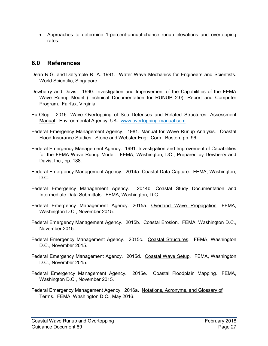• Approaches to determine 1-percent-annual-chance runup elevations and overtopping rates.

# **6.0 References**

- [Dean](https://www.google.com/search?tbo=p&tbm=bks&q=inauthor:%22Robert+George+Dean%22) R.G. and [Dalrymple](https://www.google.com/search?tbo=p&tbm=bks&q=inauthor:%22Robert+A.+Dalrymple%22) R. A. 1991. Water Wave Mechanics for Engineers and Scientists. World Scientific, Singapore.
- Dewberry and Davis. 1990. Investigation and Improvement of the Capabilities of the FEMA Wave Runup Model (Technical Documentation for RUNUP 2.0), Report and Computer Program. Fairfax, Virginia.
- EurOtop. 2016. Wave Overtopping of Sea Defenses and Related Structures: Assessment Manual. Environmental Agency, UK. [www.overtopping-manual.com.](http://www.overtopping-manual.com/)
- Federal Emergency Management Agency. 1981. Manual for Wave Runup Analysis. Coastal Flood Insurance Studies. Stone and Webster Engr. Corp., Boston, pp. 96
- Federal Emergency Management Agency. 1991. Investigation and Improvement of Capabilities for the FEMA Wave Runup Model. FEMA, Washington, DC., Prepared by Dewberry and Davis, Inc., pp. 188.
- Federal Emergency Management Agency. 2014a. Coastal Data Capture. FEMA, Washington,  $D.C.$
- Federal Emergency Management Agency. 2014b. Coastal Study Documentation and Intermediate Data Submittals. FEMA, Washington, D.C.
- Federal Emergency Management Agency. 2015a. Overland Wave Propagation. FEMA, Washington D.C., November 2015.
- Federal Emergency Management Agency. 2015b. Coastal Erosion. FEMA, Washington D.C., November 2015.
- Federal Emergency Management Agency. 2015c. Coastal Structures. FEMA, Washington D.C., November 2015.
- Federal Emergency Management Agency. 2015d. Coastal Wave Setup. FEMA, Washington D.C., November 2015.
- Federal Emergency Management Agency. 2015e. Coastal Floodplain Mapping. FEMA, Washington D.C., November 2015.
- Federal Emergency Management Agency. 2016a. Notations, Acronyms, and Glossary of Terms. FEMA, Washington D.C., May 2016.